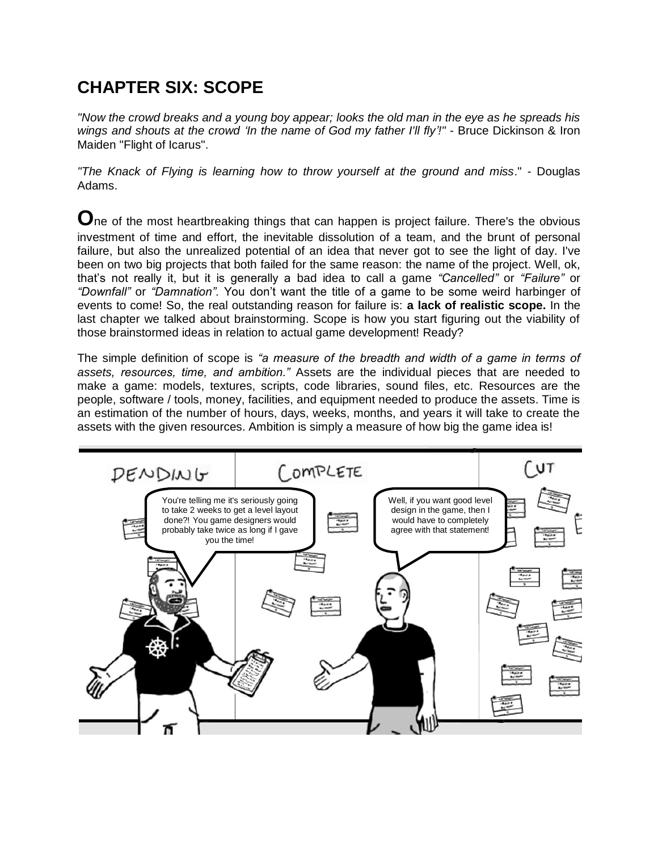# **CHAPTER SIX: SCOPE**

*"Now the crowd breaks and a young boy appear; looks the old man in the eye as he spreads his wings and shouts at the crowd 'In the name of God my father I'll fly'!"* - Bruce Dickinson & Iron Maiden "Flight of Icarus".

*"The Knack of Flying is learning how to throw yourself at the ground and miss*." - Douglas Adams.

One of the most heartbreaking things that can happen is project failure. There's the obvious investment of time and effort, the inevitable dissolution of a team, and the brunt of personal failure, but also the unrealized potential of an idea that never got to see the light of day. I've been on two big projects that both failed for the same reason: the name of the project. Well, ok, that's not really it, but it is generally a bad idea to call a game *"Cancelled"* or *"Failure"* or *"Downfall"* or *"Damnation".* You don't want the title of a game to be some weird harbinger of events to come! So, the real outstanding reason for failure is: **a lack of realistic scope.** In the last chapter we talked about brainstorming. Scope is how you start figuring out the viability of those brainstormed ideas in relation to actual game development! Ready?

The simple definition of scope is *"a measure of the breadth and width of a game in terms of assets, resources, time, and ambition."* Assets are the individual pieces that are needed to make a game: models, textures, scripts, code libraries, sound files, etc. Resources are the people, software / tools, money, facilities, and equipment needed to produce the assets. Time is an estimation of the number of hours, days, weeks, months, and years it will take to create the assets with the given resources. Ambition is simply a measure of how big the game idea is!

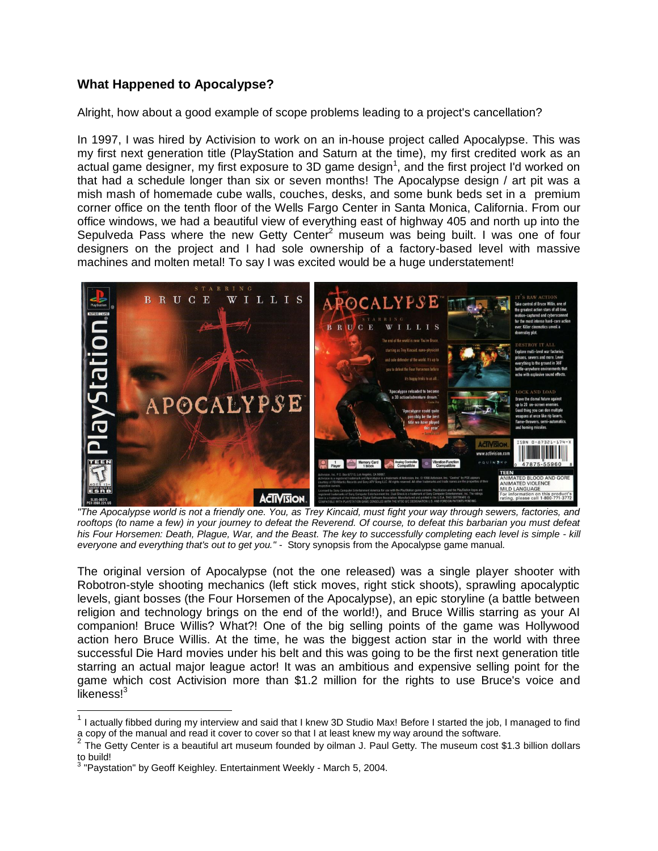## **What Happened to Apocalypse?**

Alright, how about a good example of scope problems leading to a project's cancellation?

In 1997, I was hired by Activision to work on an in-house project called Apocalypse. This was my first next generation title (PlayStation and Saturn at the time), my first credited work as an actual game designer, my first exposure to 3D game design<sup>1</sup>, and the first project I'd worked on that had a schedule longer than six or seven months! The Apocalypse design / art pit was a mish mash of homemade cube walls, couches, desks, and some bunk beds set in a premium corner office on the tenth floor of the Wells Fargo Center in Santa Monica, California. From our office windows, we had a beautiful view of everything east of highway 405 and north up into the Sepulveda Pass where the new Getty Center<sup>2</sup> museum was being built. I was one of four designers on the project and I had sole ownership of a factory-based level with massive machines and molten metal! To say I was excited would be a huge understatement!



*"The Apocalypse world is not a friendly one. You, as Trey Kincaid, must fight your way through sewers, factories, and*  rooftops (to name a few) in your journey to defeat the Reverend. Of course, to defeat this barbarian you must defeat *his Four Horsemen: Death, Plague, War, and the Beast. The key to successfully completing each level is simple - kill everyone and everything that's out to get you."* - Story synopsis from the Apocalypse game manual.

The original version of Apocalypse (not the one released) was a single player shooter with Robotron-style shooting mechanics (left stick moves, right stick shoots), sprawling apocalyptic levels, giant bosses (the Four Horsemen of the Apocalypse), an epic storyline (a battle between religion and technology brings on the end of the world!), and Bruce Willis starring as your AI companion! Bruce Willis? What?! One of the big selling points of the game was Hollywood action hero Bruce Willis. At the time, he was the biggest action star in the world with three successful Die Hard movies under his belt and this was going to be the first next generation title starring an actual major league actor! It was an ambitious and expensive selling point for the game which cost Activision more than \$1.2 million for the rights to use Bruce's voice and  $like$ ness! $3$ 

 $1$  I actually fibbed during my interview and said that I knew 3D Studio Max! Before I started the job, I managed to find

a copy of the manual and read it cover to cover so that I at least knew my way around the software.<br><sup>2</sup> The Getty Center is a beautiful art museum founded by oilman J. Paul Getty. The museum cost \$1.3 billion dollars to build!<br><sup>3</sup> "Davet

<sup>&</sup>quot;Paystation" by Geoff Keighley. Entertainment Weekly - March 5, 2004.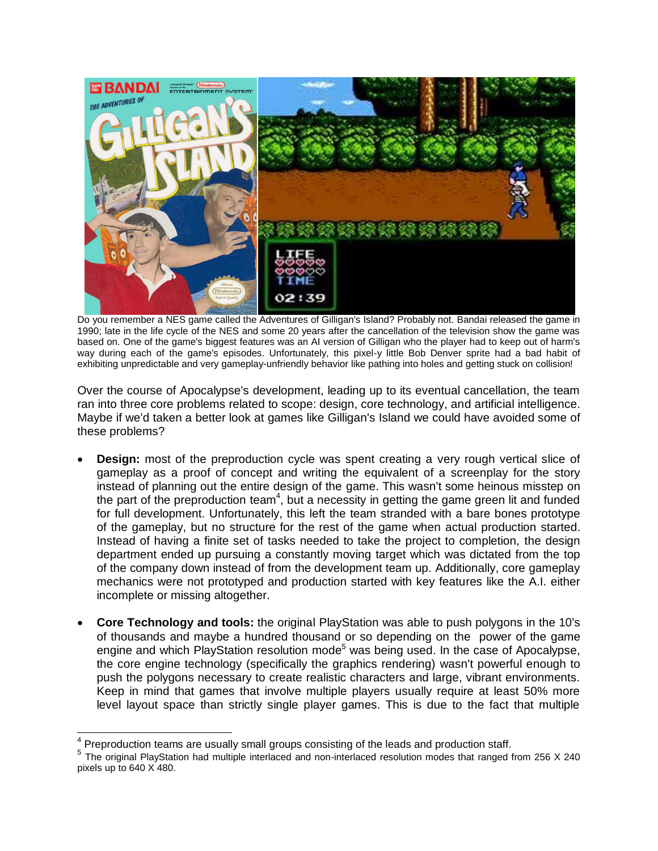

Do you remember a NES game called the Adventures of Gilligan's Island? Probably not. Bandai released the game in 1990; late in the life cycle of the NES and some 20 years after the cancellation of the television show the game was based on. One of the game's biggest features was an AI version of Gilligan who the player had to keep out of harm's way during each of the game's episodes. Unfortunately, this pixel-y little Bob Denver sprite had a bad habit of exhibiting unpredictable and very gameplay-unfriendly behavior like pathing into holes and getting stuck on collision!

Over the course of Apocalypse's development, leading up to its eventual cancellation, the team ran into three core problems related to scope: design, core technology, and artificial intelligence. Maybe if we'd taken a better look at games like Gilligan's Island we could have avoided some of these problems?

- **Design:** most of the preproduction cycle was spent creating a very rough vertical slice of gameplay as a proof of concept and writing the equivalent of a screenplay for the story instead of planning out the entire design of the game. This wasn't some heinous misstep on the part of the preproduction team<sup>4</sup>, but a necessity in getting the game green lit and funded for full development. Unfortunately, this left the team stranded with a bare bones prototype of the gameplay, but no structure for the rest of the game when actual production started. Instead of having a finite set of tasks needed to take the project to completion, the design department ended up pursuing a constantly moving target which was dictated from the top of the company down instead of from the development team up. Additionally, core gameplay mechanics were not prototyped and production started with key features like the A.I. either incomplete or missing altogether.
- **Core Technology and tools:** the original PlayStation was able to push polygons in the 10's of thousands and maybe a hundred thousand or so depending on the power of the game engine and which PlayStation resolution mode<sup>5</sup> was being used. In the case of Apocalypse, the core engine technology (specifically the graphics rendering) wasn't powerful enough to push the polygons necessary to create realistic characters and large, vibrant environments. Keep in mind that games that involve multiple players usually require at least 50% more level layout space than strictly single player games. This is due to the fact that multiple

 $4$  Preproduction teams are usually small groups consisting of the leads and production staff.

<sup>&</sup>lt;sup>5</sup> The original PlayStation had multiple interlaced and non-interlaced resolution modes that ranged from 256 X 240 pixels up to 640 X 480.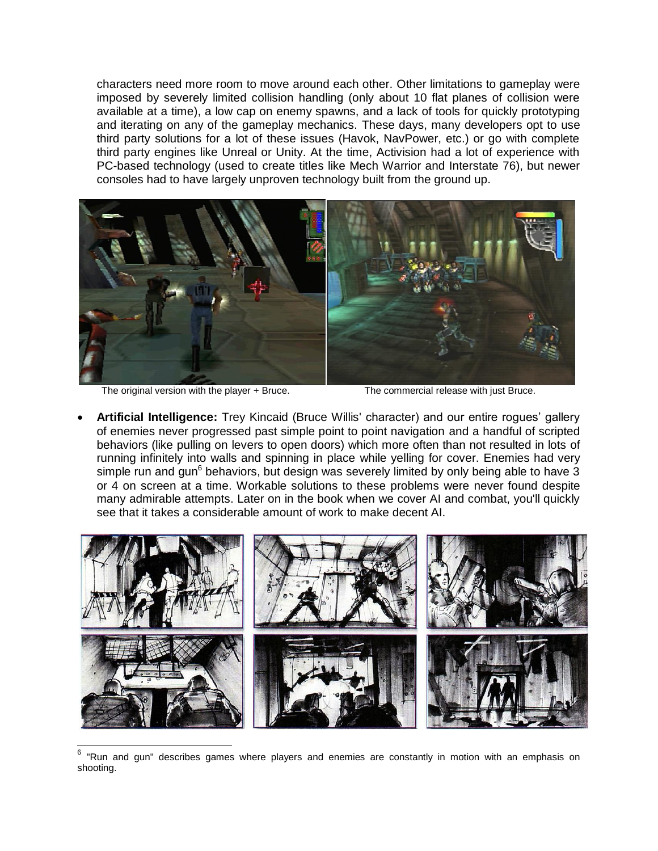characters need more room to move around each other. Other limitations to gameplay were imposed by severely limited collision handling (only about 10 flat planes of collision were available at a time), a low cap on enemy spawns, and a lack of tools for quickly prototyping and iterating on any of the gameplay mechanics. These days, many developers opt to use third party solutions for a lot of these issues (Havok, NavPower, etc.) or go with complete third party engines like Unreal or Unity. At the time, Activision had a lot of experience with PC-based technology (used to create titles like Mech Warrior and Interstate 76), but newer consoles had to have largely unproven technology built from the ground up.



The original version with the player + Bruce. The commercial release with just Bruce.

 **Artificial Intelligence:** Trey Kincaid (Bruce Willis' character) and our entire rogues' gallery of enemies never progressed past simple point to point navigation and a handful of scripted behaviors (like pulling on levers to open doors) which more often than not resulted in lots of running infinitely into walls and spinning in place while yelling for cover. Enemies had very simple run and gun<sup>6</sup> behaviors, but design was severely limited by only being able to have 3 or 4 on screen at a time. Workable solutions to these problems were never found despite many admirable attempts. Later on in the book when we cover AI and combat, you'll quickly see that it takes a considerable amount of work to make decent AI.



 $<sup>6</sup>$  "Run and gun" describes games where players and enemies are constantly in motion with an emphasis on</sup> shooting.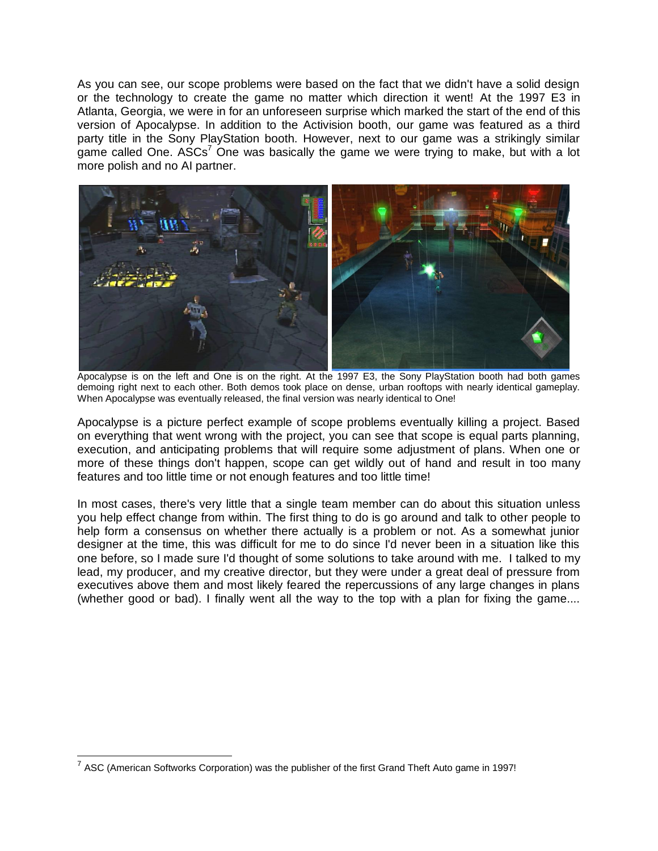As you can see, our scope problems were based on the fact that we didn't have a solid design or the technology to create the game no matter which direction it went! At the 1997 E3 in Atlanta, Georgia, we were in for an unforeseen surprise which marked the start of the end of this version of Apocalypse. In addition to the Activision booth, our game was featured as a third party title in the Sony PlayStation booth. However, next to our game was a strikingly similar game called One.  $ASCs<sup>7</sup>$  One was basically the game we were trying to make, but with a lot more polish and no AI partner.



Apocalypse is on the left and One is on the right. At the 1997 E3, the Sony PlayStation booth had both games demoing right next to each other. Both demos took place on dense, urban rooftops with nearly identical gameplay. When Apocalypse was eventually released, the final version was nearly identical to One!

Apocalypse is a picture perfect example of scope problems eventually killing a project. Based on everything that went wrong with the project, you can see that scope is equal parts planning, execution, and anticipating problems that will require some adjustment of plans. When one or more of these things don't happen, scope can get wildly out of hand and result in too many features and too little time or not enough features and too little time!

In most cases, there's very little that a single team member can do about this situation unless you help effect change from within. The first thing to do is go around and talk to other people to help form a consensus on whether there actually is a problem or not. As a somewhat junior designer at the time, this was difficult for me to do since I'd never been in a situation like this one before, so I made sure I'd thought of some solutions to take around with me. I talked to my lead, my producer, and my creative director, but they were under a great deal of pressure from executives above them and most likely feared the repercussions of any large changes in plans (whether good or bad). I finally went all the way to the top with a plan for fixing the game....

<sup>&</sup>lt;sup>7</sup> ASC (American Softworks Corporation) was the publisher of the first Grand Theft Auto game in 1997!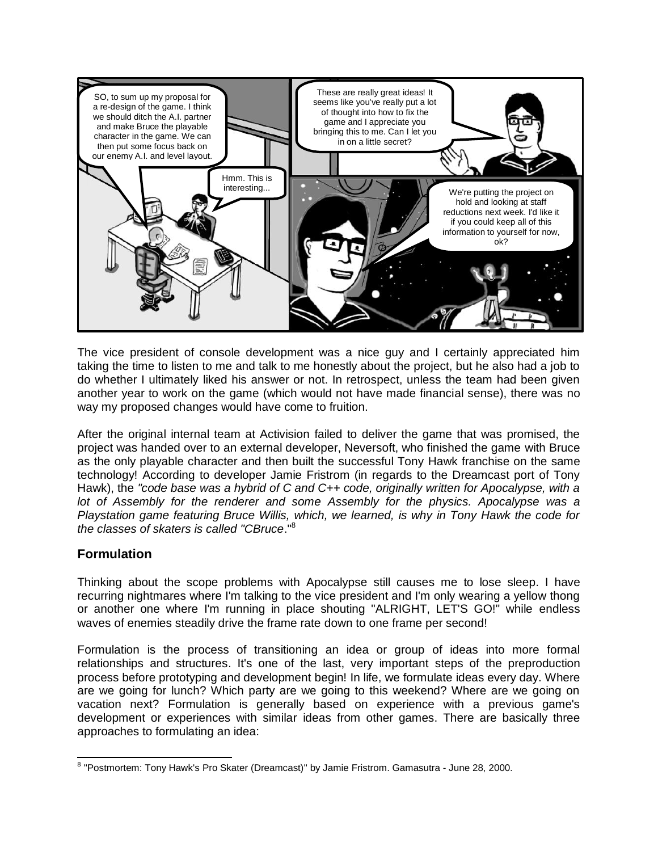

The vice president of console development was a nice guy and I certainly appreciated him taking the time to listen to me and talk to me honestly about the project, but he also had a job to do whether I ultimately liked his answer or not. In retrospect, unless the team had been given another year to work on the game (which would not have made financial sense), there was no way my proposed changes would have come to fruition.

After the original internal team at Activision failed to deliver the game that was promised, the project was handed over to an external developer, Neversoft, who finished the game with Bruce as the only playable character and then built the successful Tony Hawk franchise on the same technology! According to developer Jamie Fristrom (in regards to the Dreamcast port of Tony Hawk), the *"code base was a hybrid of C and C++ code, originally written for Apocalypse, with a lot of Assembly for the renderer and some Assembly for the physics. Apocalypse was a Playstation game featuring Bruce Willis, which, we learned, is why in Tony Hawk the code for the classes of skaters is called "CBruce*." 8

### **Formulation**

Thinking about the scope problems with Apocalypse still causes me to lose sleep. I have recurring nightmares where I'm talking to the vice president and I'm only wearing a yellow thong or another one where I'm running in place shouting "ALRIGHT, LET'S GO!" while endless waves of enemies steadily drive the frame rate down to one frame per second!

Formulation is the process of transitioning an idea or group of ideas into more formal relationships and structures. It's one of the last, very important steps of the preproduction process before prototyping and development begin! In life, we formulate ideas every day. Where are we going for lunch? Which party are we going to this weekend? Where are we going on vacation next? Formulation is generally based on experience with a previous game's development or experiences with similar ideas from other games. There are basically three approaches to formulating an idea:

 8 "Postmortem: Tony Hawk's Pro Skater (Dreamcast)" by Jamie Fristrom. Gamasutra - June 28, 2000.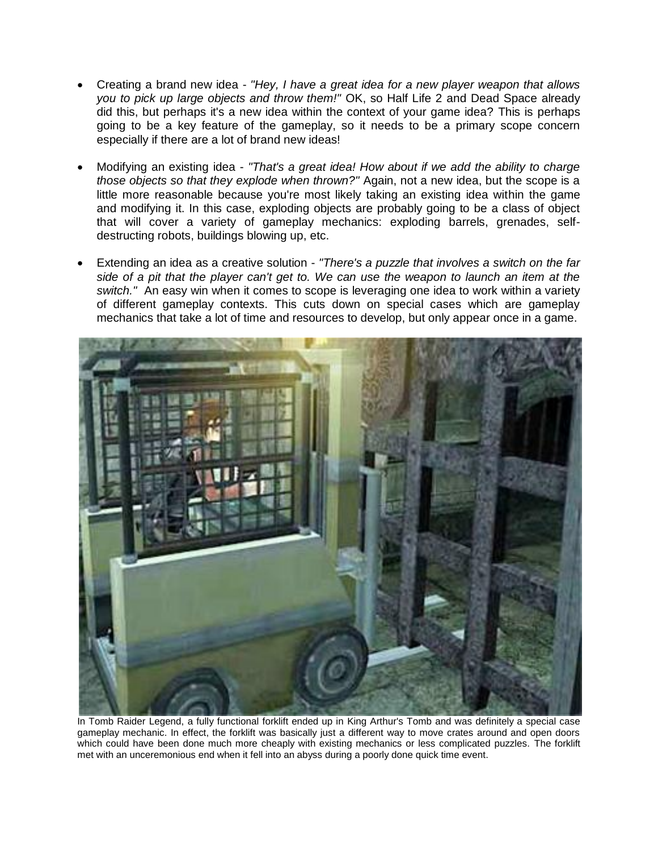- Creating a brand new idea *"Hey, I have a great idea for a new player weapon that allows you to pick up large objects and throw them!"* OK, so Half Life 2 and Dead Space already did this, but perhaps it's a new idea within the context of your game idea? This is perhaps going to be a key feature of the gameplay, so it needs to be a primary scope concern especially if there are a lot of brand new ideas!
- Modifying an existing idea *"That's a great idea! How about if we add the ability to charge those objects so that they explode when thrown?"* Again, not a new idea, but the scope is a little more reasonable because you're most likely taking an existing idea within the game and modifying it. In this case, exploding objects are probably going to be a class of object that will cover a variety of gameplay mechanics: exploding barrels, grenades, selfdestructing robots, buildings blowing up, etc.
- Extending an idea as a creative solution *"There's a puzzle that involves a switch on the far side of a pit that the player can't get to. We can use the weapon to launch an item at the switch."* An easy win when it comes to scope is leveraging one idea to work within a variety of different gameplay contexts. This cuts down on special cases which are gameplay mechanics that take a lot of time and resources to develop, but only appear once in a game.



In Tomb Raider Legend, a fully functional forklift ended up in King Arthur's Tomb and was definitely a special case gameplay mechanic. In effect, the forklift was basically just a different way to move crates around and open doors which could have been done much more cheaply with existing mechanics or less complicated puzzles. The forklift met with an unceremonious end when it fell into an abyss during a poorly done quick time event.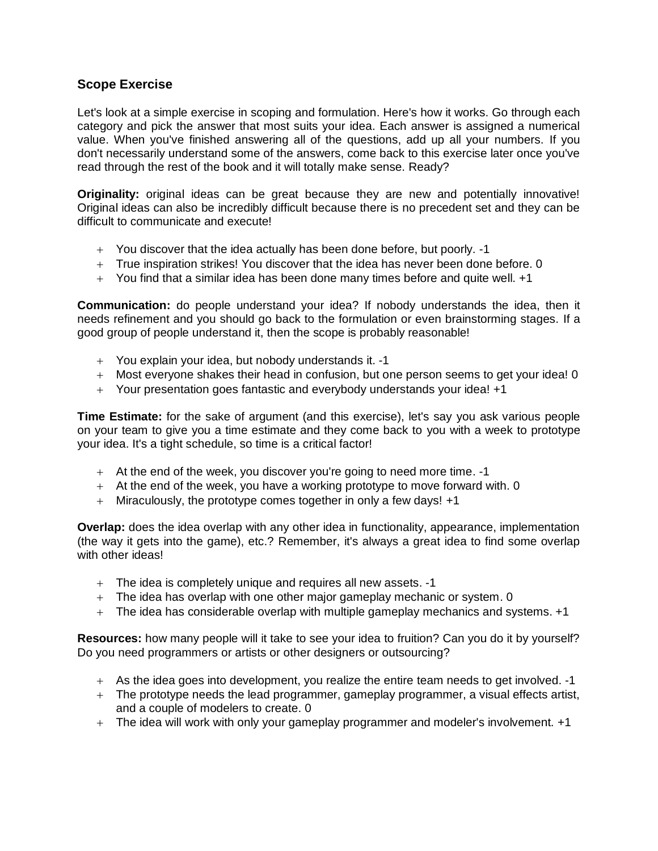#### **Scope Exercise**

Let's look at a simple exercise in scoping and formulation. Here's how it works. Go through each category and pick the answer that most suits your idea. Each answer is assigned a numerical value. When you've finished answering all of the questions, add up all your numbers. If you don't necessarily understand some of the answers, come back to this exercise later once you've read through the rest of the book and it will totally make sense. Ready?

**Originality:** original ideas can be great because they are new and potentially innovative! Original ideas can also be incredibly difficult because there is no precedent set and they can be difficult to communicate and execute!

- You discover that the idea actually has been done before, but poorly. -1
- True inspiration strikes! You discover that the idea has never been done before. 0
- You find that a similar idea has been done many times before and quite well. +1

**Communication:** do people understand your idea? If nobody understands the idea, then it needs refinement and you should go back to the formulation or even brainstorming stages. If a good group of people understand it, then the scope is probably reasonable!

- You explain your idea, but nobody understands it. -1
- Most everyone shakes their head in confusion, but one person seems to get your idea! 0
- Your presentation goes fantastic and everybody understands your idea! +1

**Time Estimate:** for the sake of argument (and this exercise), let's say you ask various people on your team to give you a time estimate and they come back to you with a week to prototype your idea. It's a tight schedule, so time is a critical factor!

- At the end of the week, you discover you're going to need more time. -1
- $+$  At the end of the week, you have a working prototype to move forward with. 0
- Miraculously, the prototype comes together in only a few days! +1

**Overlap:** does the idea overlap with any other idea in functionality, appearance, implementation (the way it gets into the game), etc.? Remember, it's always a great idea to find some overlap with other ideas!

- The idea is completely unique and requires all new assets. -1
- + The idea has overlap with one other major gameplay mechanic or system. 0
- The idea has considerable overlap with multiple gameplay mechanics and systems. +1

**Resources:** how many people will it take to see your idea to fruition? Can you do it by yourself? Do you need programmers or artists or other designers or outsourcing?

- As the idea goes into development, you realize the entire team needs to get involved. -1
- The prototype needs the lead programmer, gameplay programmer, a visual effects artist, and a couple of modelers to create. 0
- The idea will work with only your gameplay programmer and modeler's involvement. +1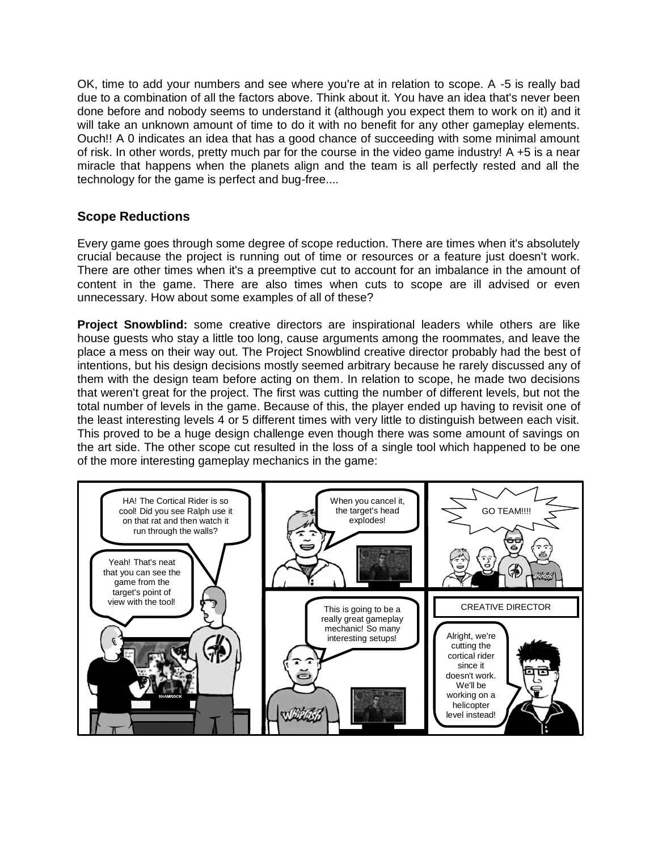OK, time to add your numbers and see where you're at in relation to scope. A -5 is really bad due to a combination of all the factors above. Think about it. You have an idea that's never been done before and nobody seems to understand it (although you expect them to work on it) and it will take an unknown amount of time to do it with no benefit for any other gameplay elements. Ouch!! A 0 indicates an idea that has a good chance of succeeding with some minimal amount of risk. In other words, pretty much par for the course in the video game industry! A +5 is a near miracle that happens when the planets align and the team is all perfectly rested and all the technology for the game is perfect and bug-free....

### **Scope Reductions**

Every game goes through some degree of scope reduction. There are times when it's absolutely crucial because the project is running out of time or resources or a feature just doesn't work. There are other times when it's a preemptive cut to account for an imbalance in the amount of content in the game. There are also times when cuts to scope are ill advised or even unnecessary. How about some examples of all of these?

**Project Snowblind:** some creative directors are inspirational leaders while others are like house guests who stay a little too long, cause arguments among the roommates, and leave the place a mess on their way out. The Project Snowblind creative director probably had the best of intentions, but his design decisions mostly seemed arbitrary because he rarely discussed any of them with the design team before acting on them. In relation to scope, he made two decisions that weren't great for the project. The first was cutting the number of different levels, but not the total number of levels in the game. Because of this, the player ended up having to revisit one of the least interesting levels 4 or 5 different times with very little to distinguish between each visit. This proved to be a huge design challenge even though there was some amount of savings on the art side. The other scope cut resulted in the loss of a single tool which happened to be one of the more interesting gameplay mechanics in the game: